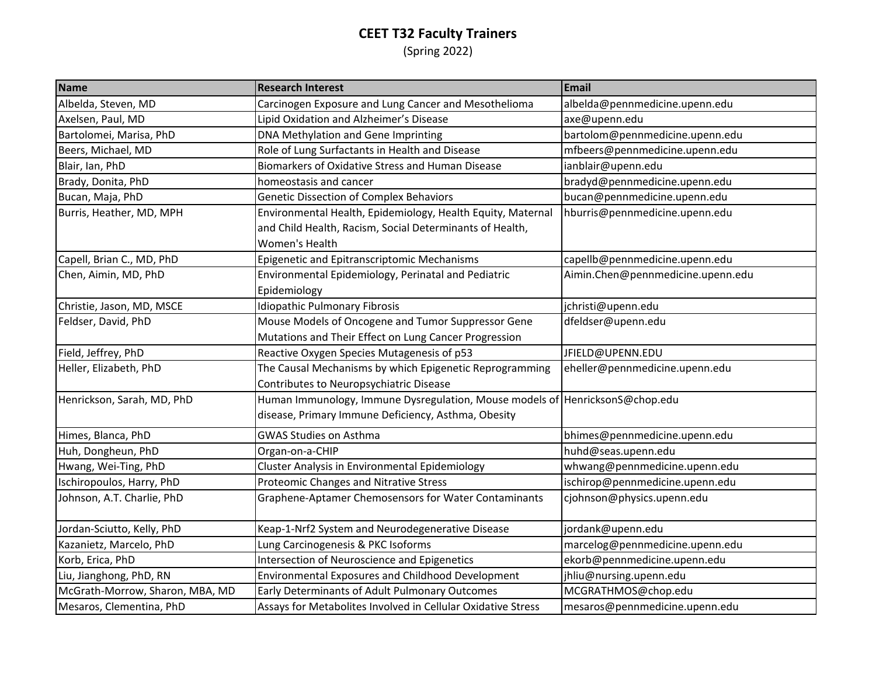## **CEET T32 Faculty Trainers** (Spring 2022)

| <b>Name</b>                     | <b>Research Interest</b>                                                                                                            | Email                             |
|---------------------------------|-------------------------------------------------------------------------------------------------------------------------------------|-----------------------------------|
| Albelda, Steven, MD             | Carcinogen Exposure and Lung Cancer and Mesothelioma                                                                                | albelda@pennmedicine.upenn.edu    |
| Axelsen, Paul, MD               | Lipid Oxidation and Alzheimer's Disease                                                                                             | axe@upenn.edu                     |
| Bartolomei, Marisa, PhD         | DNA Methylation and Gene Imprinting                                                                                                 | bartolom@pennmedicine.upenn.edu   |
| Beers, Michael, MD              | Role of Lung Surfactants in Health and Disease                                                                                      | mfbeers@pennmedicine.upenn.edu    |
| Blair, Ian, PhD                 | Biomarkers of Oxidative Stress and Human Disease                                                                                    | ianblair@upenn.edu                |
| Brady, Donita, PhD              | homeostasis and cancer                                                                                                              | bradyd@pennmedicine.upenn.edu     |
| Bucan, Maja, PhD                | Genetic Dissection of Complex Behaviors                                                                                             | bucan@pennmedicine.upenn.edu      |
| Burris, Heather, MD, MPH        | Environmental Health, Epidemiology, Health Equity, Maternal<br>and Child Health, Racism, Social Determinants of Health,             | hburris@pennmedicine.upenn.edu    |
|                                 | Women's Health                                                                                                                      |                                   |
| Capell, Brian C., MD, PhD       | Epigenetic and Epitranscriptomic Mechanisms                                                                                         | capellb@pennmedicine.upenn.edu    |
| Chen, Aimin, MD, PhD            | Environmental Epidemiology, Perinatal and Pediatric<br>Epidemiology                                                                 | Aimin.Chen@pennmedicine.upenn.edu |
| Christie, Jason, MD, MSCE       | <b>Idiopathic Pulmonary Fibrosis</b>                                                                                                | jchristi@upenn.edu                |
| Feldser, David, PhD             | Mouse Models of Oncogene and Tumor Suppressor Gene                                                                                  | dfeldser@upenn.edu                |
|                                 | Mutations and Their Effect on Lung Cancer Progression                                                                               |                                   |
| Field, Jeffrey, PhD             | Reactive Oxygen Species Mutagenesis of p53                                                                                          | JFIELD@UPENN.EDU                  |
| Heller, Elizabeth, PhD          | The Causal Mechanisms by which Epigenetic Reprogramming<br>Contributes to Neuropsychiatric Disease                                  | eheller@pennmedicine.upenn.edu    |
| Henrickson, Sarah, MD, PhD      | Human Immunology, Immune Dysregulation, Mouse models of HenricksonS@chop.edu<br>disease, Primary Immune Deficiency, Asthma, Obesity |                                   |
| Himes, Blanca, PhD              | <b>GWAS Studies on Asthma</b>                                                                                                       | bhimes@pennmedicine.upenn.edu     |
| Huh, Dongheun, PhD              | Organ-on-a-CHIP                                                                                                                     | huhd@seas.upenn.edu               |
| Hwang, Wei-Ting, PhD            | Cluster Analysis in Environmental Epidemiology                                                                                      | whwang@pennmedicine.upenn.edu     |
| Ischiropoulos, Harry, PhD       | Proteomic Changes and Nitrative Stress                                                                                              | ischirop@pennmedicine.upenn.edu   |
| Johnson, A.T. Charlie, PhD      | Graphene-Aptamer Chemosensors for Water Contaminants                                                                                | cjohnson@physics.upenn.edu        |
| Jordan-Sciutto, Kelly, PhD      | Keap-1-Nrf2 System and Neurodegenerative Disease                                                                                    | jordank@upenn.edu                 |
| Kazanietz, Marcelo, PhD         | Lung Carcinogenesis & PKC Isoforms                                                                                                  | marcelog@pennmedicine.upenn.edu   |
| Korb, Erica, PhD                | Intersection of Neuroscience and Epigenetics                                                                                        | ekorb@pennmedicine.upenn.edu      |
| Liu, Jianghong, PhD, RN         | Environmental Exposures and Childhood Development                                                                                   | jhliu@nursing.upenn.edu           |
| McGrath-Morrow, Sharon, MBA, MD | Early Determinants of Adult Pulmonary Outcomes                                                                                      | MCGRATHMOS@chop.edu               |
| Mesaros, Clementina, PhD        | Assays for Metabolites Involved in Cellular Oxidative Stress                                                                        | mesaros@pennmedicine.upenn.edu    |